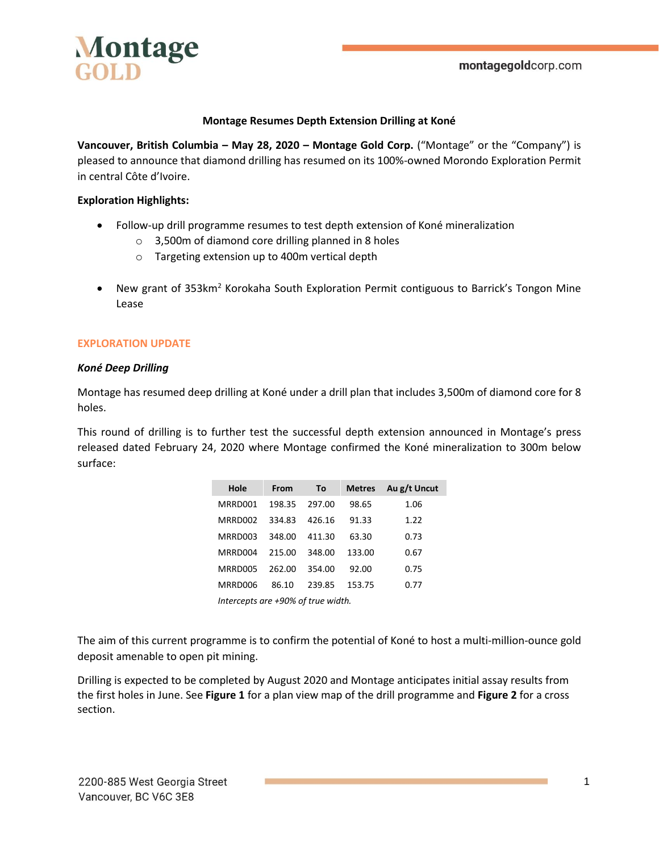

### **Montage Resumes Depth Extension Drilling at Koné**

**Vancouver, British Columbia – May 28, 2020 – Montage Gold Corp.** ("Montage" or the "Company") is pleased to announce that diamond drilling has resumed on its 100%-owned Morondo Exploration Permit in central Côte d'Ivoire.

### **Exploration Highlights:**

- Follow-up drill programme resumes to test depth extension of Koné mineralization
	- o 3,500m of diamond core drilling planned in 8 holes
	- o Targeting extension up to 400m vertical depth
- New grant of 353km<sup>2</sup> Korokaha South Exploration Permit contiguous to Barrick's Tongon Mine Lease

#### **EXPLORATION UPDATE**

#### *Koné Deep Drilling*

Montage has resumed deep drilling at Koné under a drill plan that includes 3,500m of diamond core for 8 holes.

This round of drilling is to further test the successful depth extension announced in Montage's press released dated February 24, 2020 where Montage confirmed the Koné mineralization to 300m below surface:

| Hole                               | From   | To     | <b>Metres</b> | Au g/t Uncut |
|------------------------------------|--------|--------|---------------|--------------|
| MRRD001                            | 198.35 | 297.00 | 98.65         | 1.06         |
| MRRD002                            | 334.83 | 426.16 | 91.33         | 1.22         |
| MRRD003                            | 348.00 | 411.30 | 63.30         | 0.73         |
| MRRD004                            | 215.00 | 348.00 | 133.00        | 0.67         |
| MRRD005                            | 262.00 | 354.00 | 92.00         | 0.75         |
| MRRD006                            | 86.10  | 239.85 | 153.75        | 0.77         |
| Intercepts are +90% of true width. |        |        |               |              |

The aim of this current programme is to confirm the potential of Koné to host a multi-million-ounce gold deposit amenable to open pit mining.

Drilling is expected to be completed by August 2020 and Montage anticipates initial assay results from the first holes in June. See **Figure 1** for a plan view map of the drill programme and **Figure 2** for a cross section.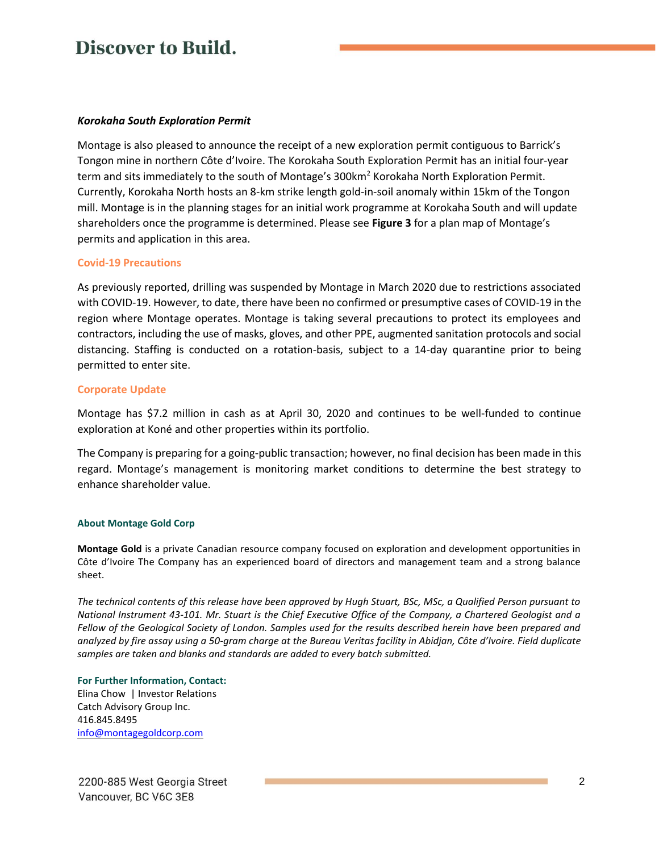#### *Korokaha South Exploration Permit*

Montage is also pleased to announce the receipt of a new exploration permit contiguous to Barrick's Tongon mine in northern Côte d'Ivoire. The Korokaha South Exploration Permit has an initial four-year term and sits immediately to the south of Montage's 300km<sup>2</sup> Korokaha North Exploration Permit. Currently, Korokaha North hosts an 8-km strike length gold-in-soil anomaly within 15km of the Tongon mill. Montage is in the planning stages for an initial work programme at Korokaha South and will update shareholders once the programme is determined. Please see **Figure 3** for a plan map of Montage's permits and application in this area.

#### **Covid-19 Precautions**

As previously reported, drilling was suspended by Montage in March 2020 due to restrictions associated with COVID-19. However, to date, there have been no confirmed or presumptive cases of COVID-19 in the region where Montage operates. Montage is taking several precautions to protect its employees and contractors, including the use of masks, gloves, and other PPE, augmented sanitation protocols and social distancing. Staffing is conducted on a rotation-basis, subject to a 14-day quarantine prior to being permitted to enter site.

#### **Corporate Update**

Montage has \$7.2 million in cash as at April 30, 2020 and continues to be well-funded to continue exploration at Koné and other properties within its portfolio.

The Company is preparing for a going-public transaction; however, no final decision has been made in this regard. Montage's management is monitoring market conditions to determine the best strategy to enhance shareholder value.

#### **About Montage Gold Corp**

**Montage Gold** is a private Canadian resource company focused on exploration and development opportunities in Côte d'Ivoire The Company has an experienced board of directors and management team and a strong balance sheet.

*The technical contents of this release have been approved by Hugh Stuart, BSc, MSc, a Qualified Person pursuant to National Instrument 43-101. Mr. Stuart is the Chief Executive Office of the Company, a Chartered Geologist and a Fellow of the Geological Society of London. Samples used for the results described herein have been prepared and analyzed by fire assay using a 50-gram charge at the Bureau Veritas facility in Abidjan, Côte d'Ivoire. Field duplicate samples are taken and blanks and standards are added to every batch submitted.*

**For Further Information, Contact:** Elina Chow | Investor Relations Catch Advisory Group Inc. 416.845.8495 [info@montagegoldcorp.com](mailto:info@montagegoldcorp.com)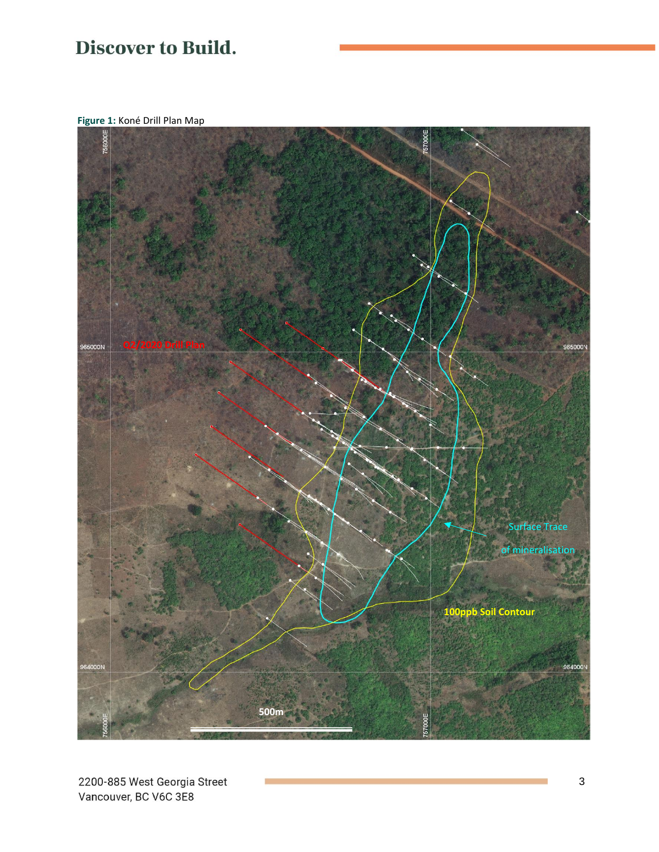**Figure 1:** Koné Drill Plan Map

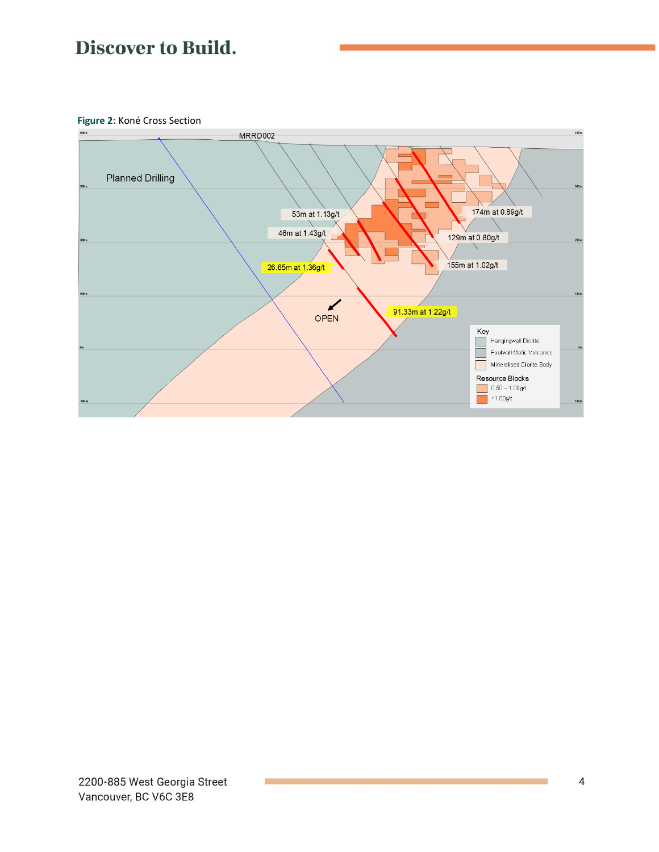**Figure 2:** Koné Cross Section